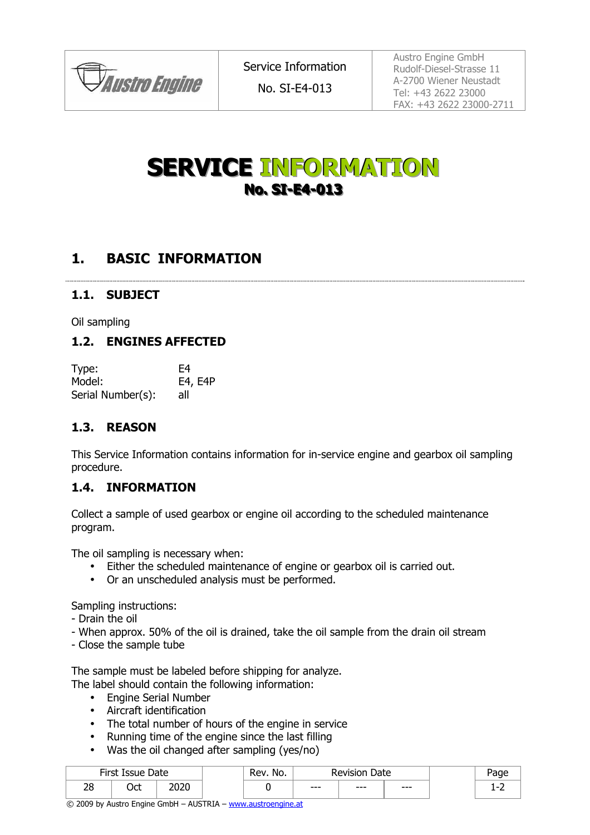

No. SI-E4-013

Austro Engine GmbH Rudolf-Diesel-Strasse 11 A-2700 Wiener Neustadt Tel: +43 2622 23000 FAX: +43 2622 23000-2711

# **SERVICE INFORMATION No. SI-E4-013**

# **1. BASIC INFORMATION**

#### **1.1. SUBJECT**

Oil sampling

#### **1.2. ENGINES AFFECTED**

| Type:             | F4      |
|-------------------|---------|
| Model:            | E4, E4P |
| Serial Number(s): | all     |

### **1.3. REASON**

This Service Information contains information for in-service engine and gearbox oil sampling procedure.

#### **1.4. INFORMATION**

Collect a sample of used gearbox or engine oil according to the scheduled maintenance program.

The oil sampling is necessary when:

- Either the scheduled maintenance of engine or gearbox oil is carried out.
- Or an unscheduled analysis must be performed.

Sampling instructions:

- Drain the oil
- When approx. 50% of the oil is drained, take the oil sample from the drain oil stream
- Close the sample tube

The sample must be labeled before shipping for analyze.

The label should contain the following information:

- Engine Serial Number
- Aircraft identification
- The total number of hours of the engine in service
- Running time of the engine since the last filling
- Was the oil changed after sampling (yes/no)

| <b>Sirct</b><br>Date<br>Issue<br>-11 SL |           | No.<br>₹ev   | Date<br>≀evision |         |      | $\sim$ |     |
|-----------------------------------------|-----------|--------------|------------------|---------|------|--------|-----|
| 28                                      | ◝∼+<br>uu | ากาก<br>∠∪∠∪ |                  | $- - -$ | $--$ | $--$   | . . |

© 2009 by Austro Engine GmbH – AUSTRIA – www.austroengine.at